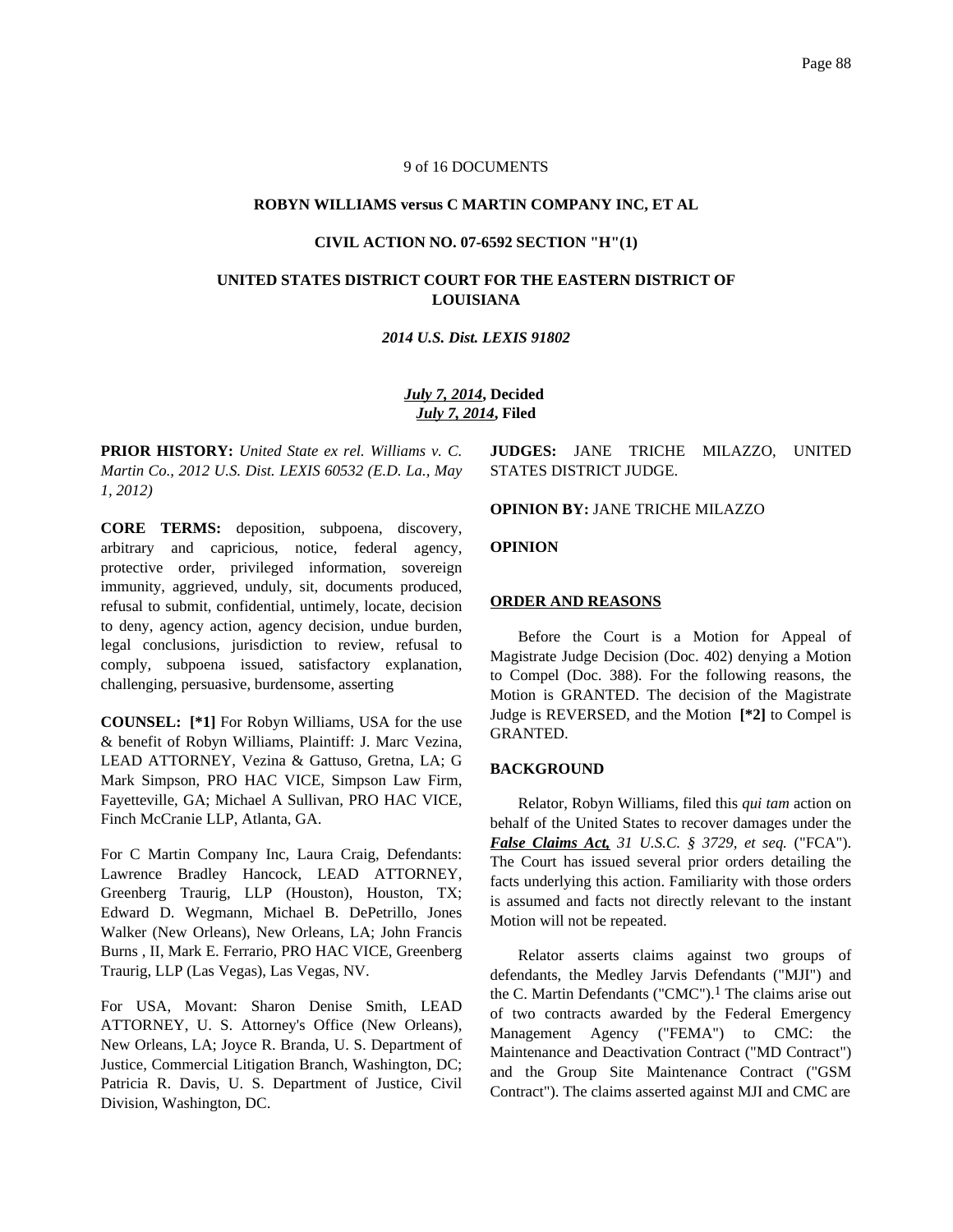#### 9 of 16 DOCUMENTS

#### **ROBYN WILLIAMS versus C MARTIN COMPANY INC, ET AL**

#### **CIVIL ACTION NO. 07-6592 SECTION "H"(1)**

# **UNITED STATES DISTRICT COURT FOR THE EASTERN DISTRICT OF LOUISIANA**

### *2014 U.S. Dist. LEXIS 91802*

# *July 7, 2014***, Decided** *July 7, 2014***, Filed**

**PRIOR HISTORY:** *United State ex rel. Williams v. C. Martin Co., 2012 U.S. Dist. LEXIS 60532 (E.D. La., May 1, 2012)*

**CORE TERMS:** deposition, subpoena, discovery, arbitrary and capricious, notice, federal agency, protective order, privileged information, sovereign immunity, aggrieved, unduly, sit, documents produced, refusal to submit, confidential, untimely, locate, decision to deny, agency action, agency decision, undue burden, legal conclusions, jurisdiction to review, refusal to comply, subpoena issued, satisfactory explanation, challenging, persuasive, burdensome, asserting

**COUNSEL: [\*1]** For Robyn Williams, USA for the use & benefit of Robyn Williams, Plaintiff: J. Marc Vezina, LEAD ATTORNEY, Vezina & Gattuso, Gretna, LA; G Mark Simpson, PRO HAC VICE, Simpson Law Firm, Fayetteville, GA; Michael A Sullivan, PRO HAC VICE, Finch McCranie LLP, Atlanta, GA.

For C Martin Company Inc, Laura Craig, Defendants: Lawrence Bradley Hancock, LEAD ATTORNEY, Greenberg Traurig, LLP (Houston), Houston, TX; Edward D. Wegmann, Michael B. DePetrillo, Jones Walker (New Orleans), New Orleans, LA; John Francis Burns , II, Mark E. Ferrario, PRO HAC VICE, Greenberg Traurig, LLP (Las Vegas), Las Vegas, NV.

For USA, Movant: Sharon Denise Smith, LEAD ATTORNEY, U. S. Attorney's Office (New Orleans), New Orleans, LA; Joyce R. Branda, U. S. Department of Justice, Commercial Litigation Branch, Washington, DC; Patricia R. Davis, U. S. Department of Justice, Civil Division, Washington, DC.

**JUDGES:** JANE TRICHE MILAZZO, UNITED STATES DISTRICT JUDGE.

#### **OPINION BY:** JANE TRICHE MILAZZO

**OPINION**

#### **ORDER AND REASONS**

Before the Court is a Motion for Appeal of Magistrate Judge Decision (Doc. 402) denying a Motion to Compel (Doc. 388). For the following reasons, the Motion is GRANTED. The decision of the Magistrate Judge is REVERSED, and the Motion **[\*2]** to Compel is GRANTED.

# **BACKGROUND**

Relator, Robyn Williams, filed this *qui tam* action on behalf of the United States to recover damages under the *False Claims Act, 31 U.S.C. § 3729, et seq.* ("FCA"). The Court has issued several prior orders detailing the facts underlying this action. Familiarity with those orders is assumed and facts not directly relevant to the instant Motion will not be repeated.

Relator asserts claims against two groups of defendants, the Medley Jarvis Defendants ("MJI") and the C. Martin Defendants ("CMC").<sup>1</sup> The claims arise out of two contracts awarded by the Federal Emergency Management Agency ("FEMA") to CMC: the Maintenance and Deactivation Contract ("MD Contract") and the Group Site Maintenance Contract ("GSM Contract"). The claims asserted against MJI and CMC are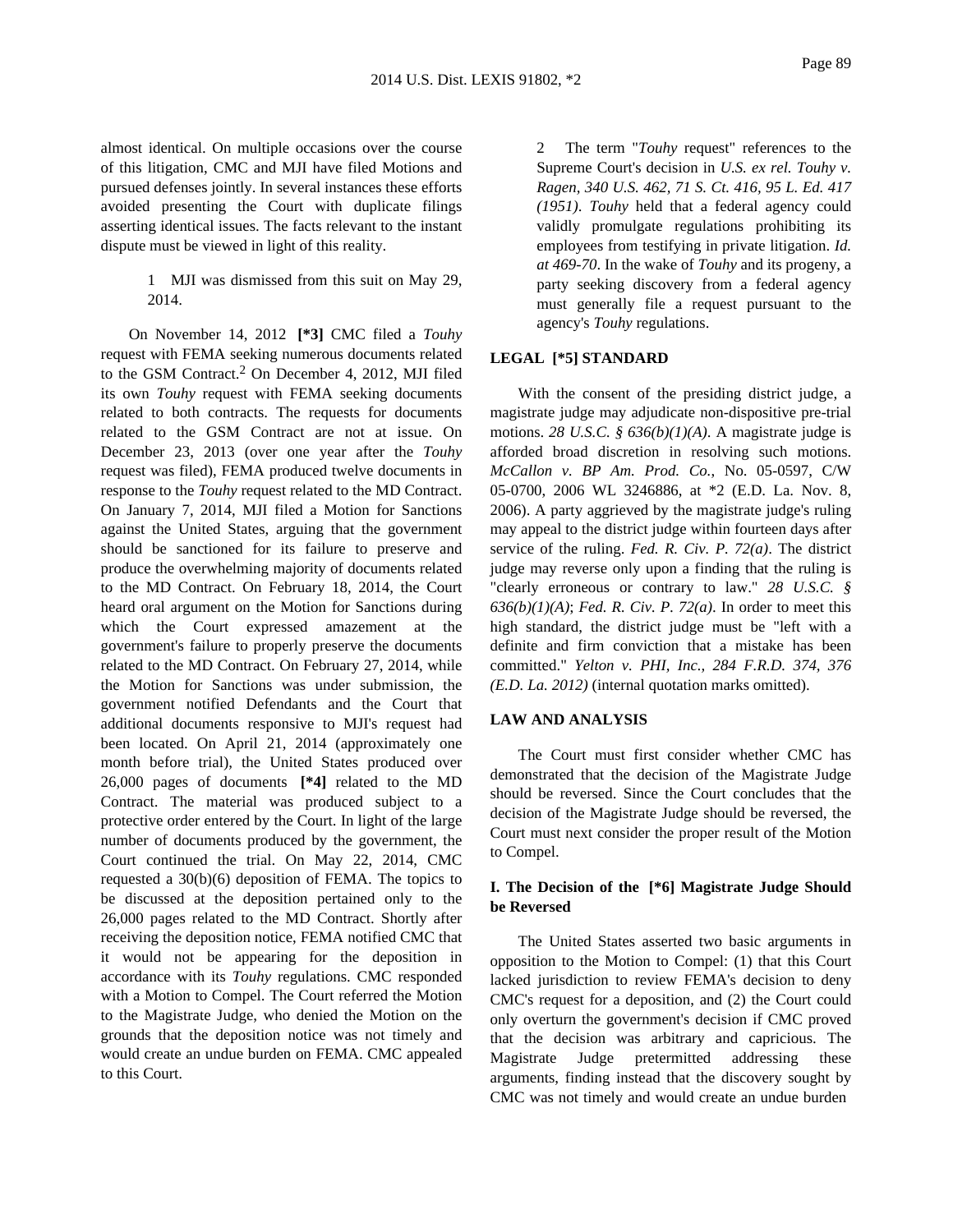almost identical. On multiple occasions over the course of this litigation, CMC and MJI have filed Motions and pursued defenses jointly. In several instances these efforts avoided presenting the Court with duplicate filings asserting identical issues. The facts relevant to the instant dispute must be viewed in light of this reality.

> 1 MJI was dismissed from this suit on May 29, 2014.

On November 14, 2012 **[\*3]** CMC filed a *Touhy* request with FEMA seeking numerous documents related to the GSM Contract.<sup>2</sup> On December 4, 2012, MJI filed its own *Touhy* request with FEMA seeking documents related to both contracts. The requests for documents related to the GSM Contract are not at issue. On December 23, 2013 (over one year after the *Touhy* request was filed), FEMA produced twelve documents in response to the *Touhy* request related to the MD Contract. On January 7, 2014, MJI filed a Motion for Sanctions against the United States, arguing that the government should be sanctioned for its failure to preserve and produce the overwhelming majority of documents related to the MD Contract. On February 18, 2014, the Court heard oral argument on the Motion for Sanctions during which the Court expressed amazement at the government's failure to properly preserve the documents related to the MD Contract. On February 27, 2014, while the Motion for Sanctions was under submission, the government notified Defendants and the Court that additional documents responsive to MJI's request had been located. On April 21, 2014 (approximately one month before trial), the United States produced over 26,000 pages of documents **[\*4]** related to the MD Contract. The material was produced subject to a protective order entered by the Court. In light of the large number of documents produced by the government, the Court continued the trial. On May 22, 2014, CMC requested a 30(b)(6) deposition of FEMA. The topics to be discussed at the deposition pertained only to the 26,000 pages related to the MD Contract. Shortly after receiving the deposition notice, FEMA notified CMC that it would not be appearing for the deposition in accordance with its *Touhy* regulations. CMC responded with a Motion to Compel. The Court referred the Motion to the Magistrate Judge, who denied the Motion on the grounds that the deposition notice was not timely and would create an undue burden on FEMA. CMC appealed to this Court.

2 The term "*Touhy* request" references to the Supreme Court's decision in *U.S. ex rel. Touhy v. Ragen, 340 U.S. 462, 71 S. Ct. 416, 95 L. Ed. 417 (1951)*. *Touhy* held that a federal agency could validly promulgate regulations prohibiting its employees from testifying in private litigation. *Id. at 469-70*. In the wake of *Touhy* and its progeny, a party seeking discovery from a federal agency must generally file a request pursuant to the agency's *Touhy* regulations.

### **LEGAL [\*5] STANDARD**

With the consent of the presiding district judge, a magistrate judge may adjudicate non-dispositive pre-trial motions. *28 U.S.C. § 636(b)(1)(A)*. A magistrate judge is afforded broad discretion in resolving such motions. *McCallon v. BP Am. Prod. Co.*, No. 05-0597, C/W 05-0700, 2006 WL 3246886, at \*2 (E.D. La. Nov. 8, 2006). A party aggrieved by the magistrate judge's ruling may appeal to the district judge within fourteen days after service of the ruling. *Fed. R. Civ. P. 72(a)*. The district judge may reverse only upon a finding that the ruling is "clearly erroneous or contrary to law." *28 U.S.C. § 636(b)(1)(A)*; *Fed. R. Civ. P. 72(a)*. In order to meet this high standard, the district judge must be "left with a definite and firm conviction that a mistake has been committed." *Yelton v. PHI, Inc., 284 F.R.D. 374, 376 (E.D. La. 2012)* (internal quotation marks omitted).

### **LAW AND ANALYSIS**

The Court must first consider whether CMC has demonstrated that the decision of the Magistrate Judge should be reversed. Since the Court concludes that the decision of the Magistrate Judge should be reversed, the Court must next consider the proper result of the Motion to Compel.

# **I. The Decision of the [\*6] Magistrate Judge Should be Reversed**

The United States asserted two basic arguments in opposition to the Motion to Compel: (1) that this Court lacked jurisdiction to review FEMA's decision to deny CMC's request for a deposition, and (2) the Court could only overturn the government's decision if CMC proved that the decision was arbitrary and capricious. The Magistrate Judge pretermitted addressing these arguments, finding instead that the discovery sought by CMC was not timely and would create an undue burden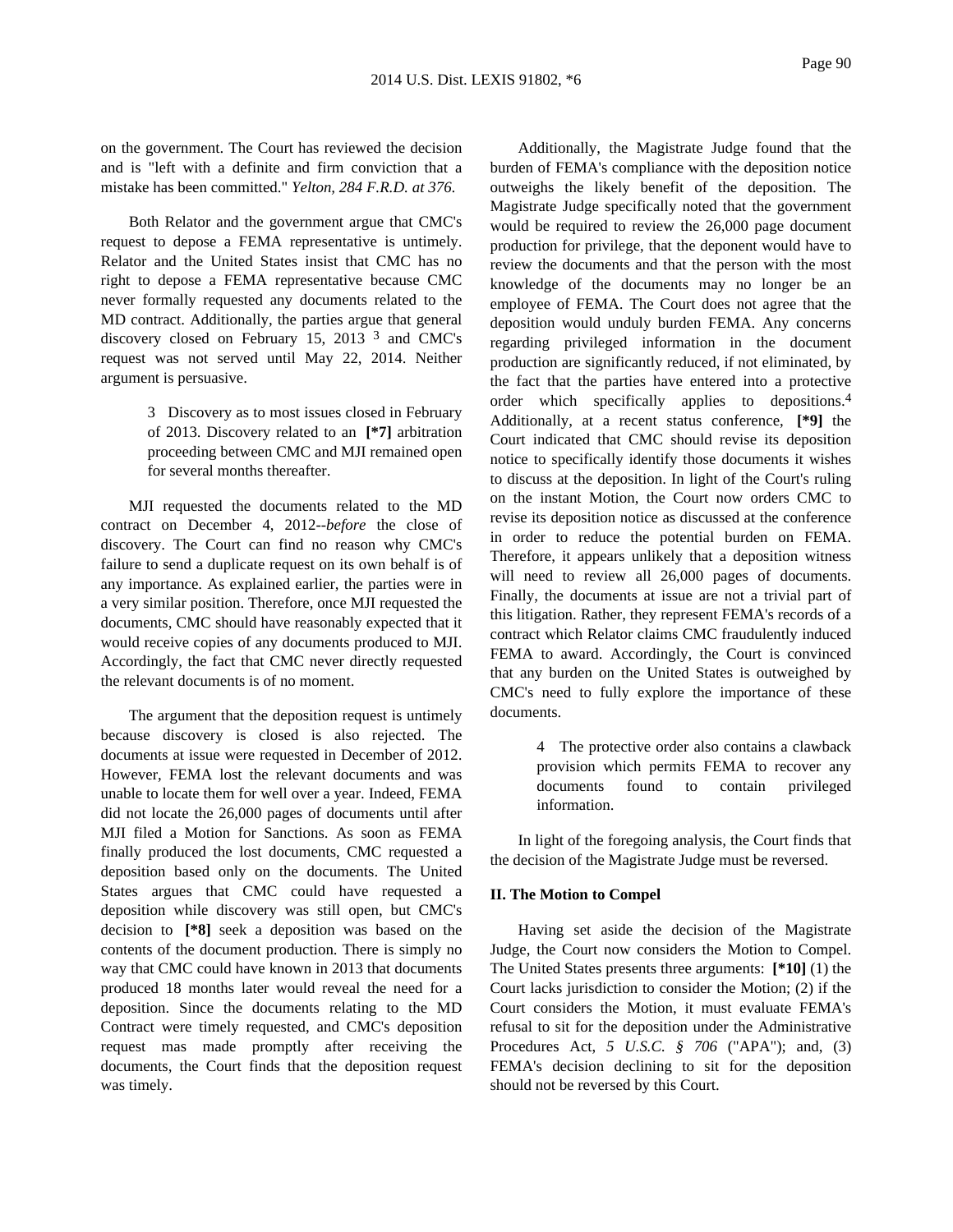on the government. The Court has reviewed the decision and is "left with a definite and firm conviction that a mistake has been committed." *Yelton, 284 F.R.D. at 376*.

Both Relator and the government argue that CMC's request to depose a FEMA representative is untimely. Relator and the United States insist that CMC has no right to depose a FEMA representative because CMC never formally requested any documents related to the MD contract. Additionally, the parties argue that general discovery closed on February 15, 2013 3 and CMC's request was not served until May 22, 2014. Neither argument is persuasive.

> 3 Discovery as to most issues closed in February of 2013. Discovery related to an **[\*7]** arbitration proceeding between CMC and MJI remained open for several months thereafter.

MJI requested the documents related to the MD contract on December 4, 2012--*before* the close of discovery. The Court can find no reason why CMC's failure to send a duplicate request on its own behalf is of any importance. As explained earlier, the parties were in a very similar position. Therefore, once MJI requested the documents, CMC should have reasonably expected that it would receive copies of any documents produced to MJI. Accordingly, the fact that CMC never directly requested the relevant documents is of no moment.

The argument that the deposition request is untimely because discovery is closed is also rejected. The documents at issue were requested in December of 2012. However, FEMA lost the relevant documents and was unable to locate them for well over a year. Indeed, FEMA did not locate the 26,000 pages of documents until after MJI filed a Motion for Sanctions. As soon as FEMA finally produced the lost documents, CMC requested a deposition based only on the documents. The United States argues that CMC could have requested a deposition while discovery was still open, but CMC's decision to **[\*8]** seek a deposition was based on the contents of the document production. There is simply no way that CMC could have known in 2013 that documents produced 18 months later would reveal the need for a deposition. Since the documents relating to the MD Contract were timely requested, and CMC's deposition request mas made promptly after receiving the documents, the Court finds that the deposition request was timely.

Additionally, the Magistrate Judge found that the burden of FEMA's compliance with the deposition notice outweighs the likely benefit of the deposition. The Magistrate Judge specifically noted that the government would be required to review the 26,000 page document production for privilege, that the deponent would have to review the documents and that the person with the most knowledge of the documents may no longer be an employee of FEMA. The Court does not agree that the deposition would unduly burden FEMA. Any concerns regarding privileged information in the document production are significantly reduced, if not eliminated, by the fact that the parties have entered into a protective order which specifically applies to depositions.4 Additionally, at a recent status conference, **[\*9]** the Court indicated that CMC should revise its deposition notice to specifically identify those documents it wishes to discuss at the deposition. In light of the Court's ruling on the instant Motion, the Court now orders CMC to revise its deposition notice as discussed at the conference in order to reduce the potential burden on FEMA. Therefore, it appears unlikely that a deposition witness will need to review all 26,000 pages of documents. Finally, the documents at issue are not a trivial part of this litigation. Rather, they represent FEMA's records of a contract which Relator claims CMC fraudulently induced FEMA to award. Accordingly, the Court is convinced that any burden on the United States is outweighed by CMC's need to fully explore the importance of these documents.

> 4 The protective order also contains a clawback provision which permits FEMA to recover any documents found to contain privileged information.

In light of the foregoing analysis, the Court finds that the decision of the Magistrate Judge must be reversed.

#### **II. The Motion to Compel**

Having set aside the decision of the Magistrate Judge, the Court now considers the Motion to Compel. The United States presents three arguments: **[\*10]** (1) the Court lacks jurisdiction to consider the Motion; (2) if the Court considers the Motion, it must evaluate FEMA's refusal to sit for the deposition under the Administrative Procedures Act, *5 U.S.C. § 706* ("APA"); and, (3) FEMA's decision declining to sit for the deposition should not be reversed by this Court.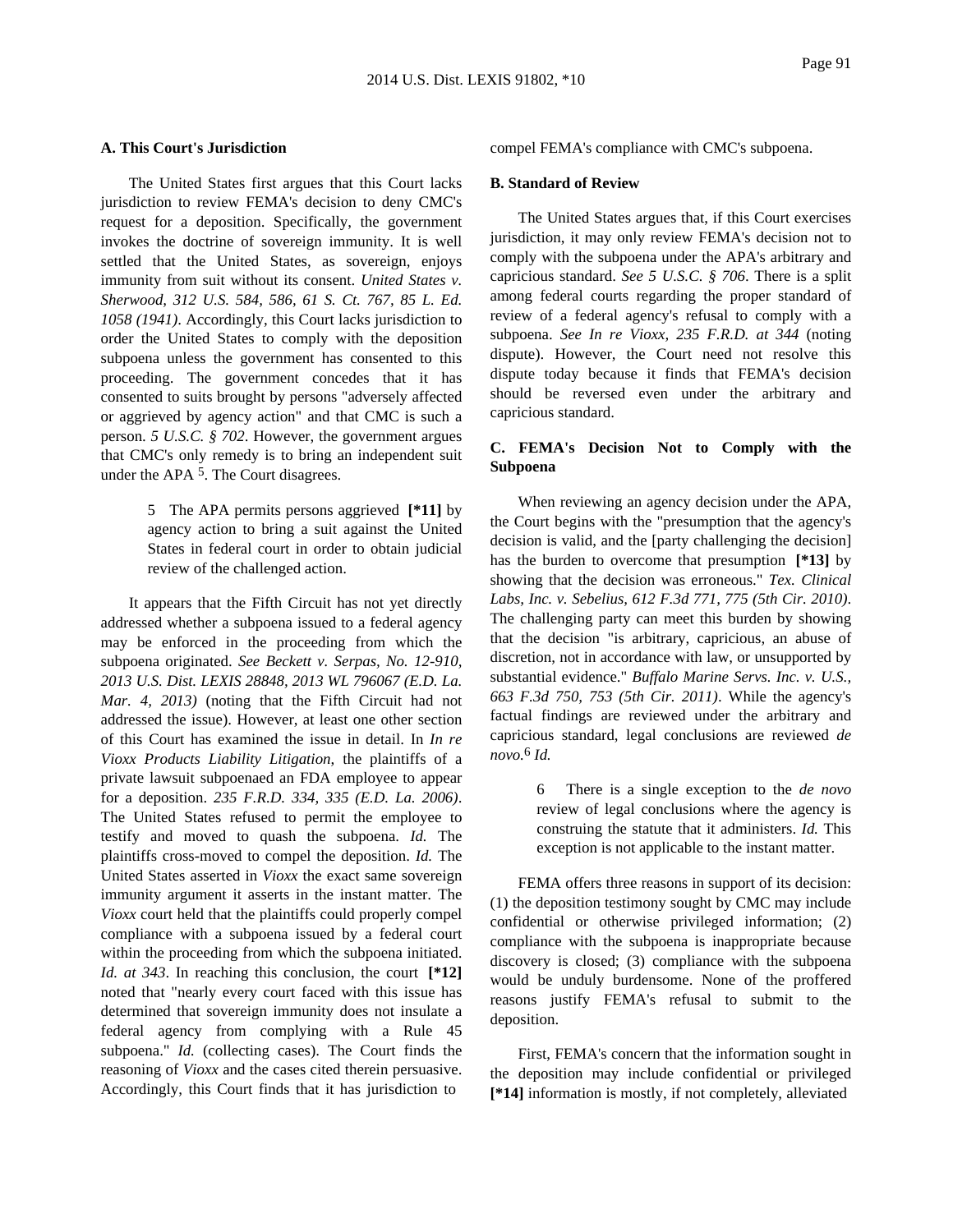### **A. This Court's Jurisdiction**

The United States first argues that this Court lacks jurisdiction to review FEMA's decision to deny CMC's request for a deposition. Specifically, the government invokes the doctrine of sovereign immunity. It is well settled that the United States, as sovereign, enjoys immunity from suit without its consent. *United States v. Sherwood, 312 U.S. 584, 586, 61 S. Ct. 767, 85 L. Ed. 1058 (1941)*. Accordingly, this Court lacks jurisdiction to order the United States to comply with the deposition subpoena unless the government has consented to this proceeding. The government concedes that it has consented to suits brought by persons "adversely affected or aggrieved by agency action" and that CMC is such a person. *5 U.S.C. § 702*. However, the government argues that CMC's only remedy is to bring an independent suit under the APA<sup>5</sup>. The Court disagrees.

> 5 The APA permits persons aggrieved **[\*11]** by agency action to bring a suit against the United States in federal court in order to obtain judicial review of the challenged action.

It appears that the Fifth Circuit has not yet directly addressed whether a subpoena issued to a federal agency may be enforced in the proceeding from which the subpoena originated. *See Beckett v. Serpas, No. 12-910, 2013 U.S. Dist. LEXIS 28848, 2013 WL 796067 (E.D. La. Mar. 4, 2013)* (noting that the Fifth Circuit had not addressed the issue). However, at least one other section of this Court has examined the issue in detail. In *In re Vioxx Products Liability Litigation*, the plaintiffs of a private lawsuit subpoenaed an FDA employee to appear for a deposition. *235 F.R.D. 334, 335 (E.D. La. 2006)*. The United States refused to permit the employee to testify and moved to quash the subpoena. *Id.* The plaintiffs cross-moved to compel the deposition. *Id.* The United States asserted in *Vioxx* the exact same sovereign immunity argument it asserts in the instant matter. The *Vioxx* court held that the plaintiffs could properly compel compliance with a subpoena issued by a federal court within the proceeding from which the subpoena initiated. *Id. at 343*. In reaching this conclusion, the court **[\*12]** noted that "nearly every court faced with this issue has determined that sovereign immunity does not insulate a federal agency from complying with a Rule 45 subpoena." *Id.* (collecting cases). The Court finds the reasoning of *Vioxx* and the cases cited therein persuasive. Accordingly, this Court finds that it has jurisdiction to

compel FEMA's compliance with CMC's subpoena.

#### **B. Standard of Review**

The United States argues that, if this Court exercises jurisdiction, it may only review FEMA's decision not to comply with the subpoena under the APA's arbitrary and capricious standard. *See 5 U.S.C. § 706*. There is a split among federal courts regarding the proper standard of review of a federal agency's refusal to comply with a subpoena. *See In re Vioxx, 235 F.R.D. at 344* (noting dispute). However, the Court need not resolve this dispute today because it finds that FEMA's decision should be reversed even under the arbitrary and capricious standard.

# **C. FEMA's Decision Not to Comply with the Subpoena**

When reviewing an agency decision under the APA, the Court begins with the "presumption that the agency's decision is valid, and the [party challenging the decision] has the burden to overcome that presumption **[\*13]** by showing that the decision was erroneous." *Tex. Clinical Labs, Inc. v. Sebelius, 612 F.3d 771, 775 (5th Cir. 2010)*. The challenging party can meet this burden by showing that the decision "is arbitrary, capricious, an abuse of discretion, not in accordance with law, or unsupported by substantial evidence." *Buffalo Marine Servs. Inc. v. U.S., 663 F.3d 750, 753 (5th Cir. 2011)*. While the agency's factual findings are reviewed under the arbitrary and capricious standard, legal conclusions are reviewed *de novo.*6 *Id.*

> 6 There is a single exception to the *de novo* review of legal conclusions where the agency is construing the statute that it administers. *Id.* This exception is not applicable to the instant matter.

FEMA offers three reasons in support of its decision: (1) the deposition testimony sought by CMC may include confidential or otherwise privileged information; (2) compliance with the subpoena is inappropriate because discovery is closed; (3) compliance with the subpoena would be unduly burdensome. None of the proffered reasons justify FEMA's refusal to submit to the deposition.

First, FEMA's concern that the information sought in the deposition may include confidential or privileged **[\*14]** information is mostly, if not completely, alleviated